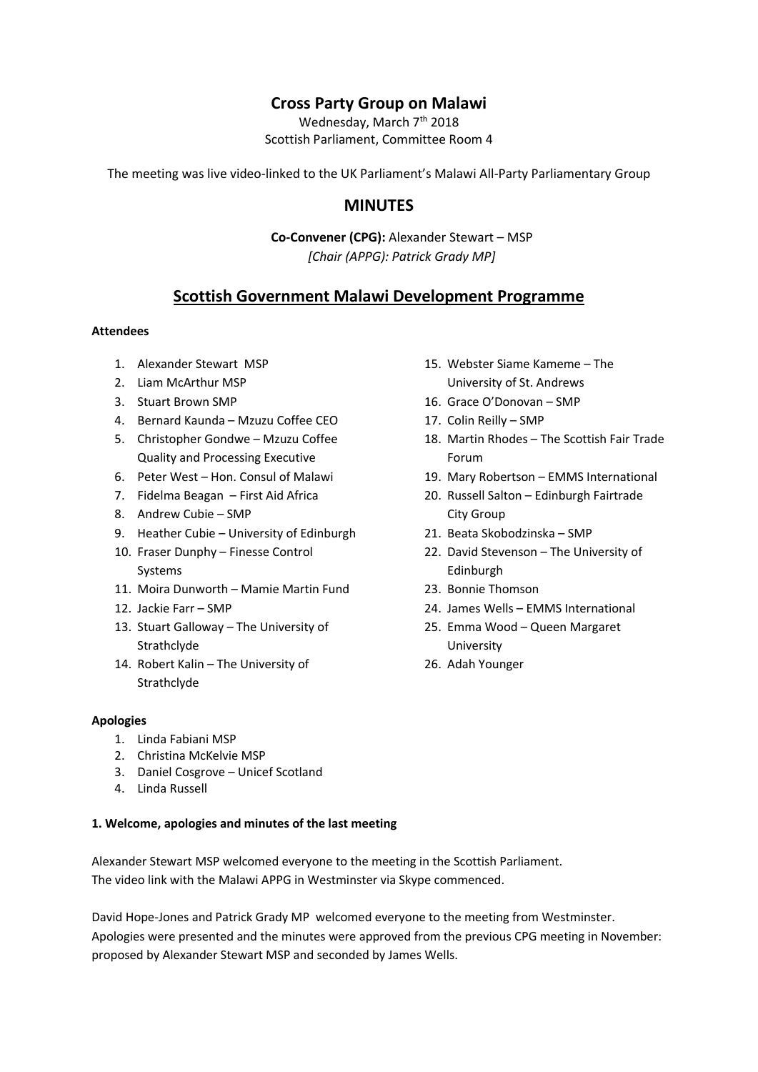# **Cross Party Group on Malawi**

Wednesday, March 7<sup>th</sup> 2018 Scottish Parliament, Committee Room 4

The meeting was live video-linked to the UK Parliament's Malawi All-Party Parliamentary Group

# **MINUTES**

**Co-Convener (CPG):** Alexander Stewart – MSP *[Chair (APPG): Patrick Grady MP]*

# **Scottish Government Malawi Development Programme**

### **Attendees**

- 1. Alexander Stewart MSP
- 2. Liam McArthur MSP
- 3. Stuart Brown SMP
- 4. Bernard Kaunda Mzuzu Coffee CEO
- 5. Christopher Gondwe Mzuzu Coffee Quality and Processing Executive
- 6. Peter West Hon. Consul of Malawi
- 7. Fidelma Beagan First Aid Africa
- 8. Andrew Cubie SMP
- 9. Heather Cubie University of Edinburgh
- 10. Fraser Dunphy Finesse Control Systems
- 11. Moira Dunworth Mamie Martin Fund
- 12. Jackie Farr SMP
- 13. Stuart Galloway The University of Strathclyde
- 14. Robert Kalin The University of Strathclyde

#### **Apologies**

- 1. Linda Fabiani MSP
- 2. Christina McKelvie MSP
- 3. Daniel Cosgrove Unicef Scotland
- 4. Linda Russell

#### **1. Welcome, apologies and minutes of the last meeting**

Alexander Stewart MSP welcomed everyone to the meeting in the Scottish Parliament. The video link with the Malawi APPG in Westminster via Skype commenced.

David Hope-Jones and Patrick Grady MP welcomed everyone to the meeting from Westminster. Apologies were presented and the minutes were approved from the previous CPG meeting in November: proposed by Alexander Stewart MSP and seconded by James Wells.

- 15. Webster Siame Kameme The University of St. Andrews
- 16. Grace O'Donovan SMP
- 17. Colin Reilly SMP
- 18. Martin Rhodes The Scottish Fair Trade Forum
- 19. Mary Robertson EMMS International
- 20. Russell Salton Edinburgh Fairtrade City Group
- 21. Beata Skobodzinska SMP
- 22. David Stevenson The University of Edinburgh
- 23. Bonnie Thomson
- 24. James Wells EMMS International
- 25. Emma Wood Queen Margaret University
- 26. Adah Younger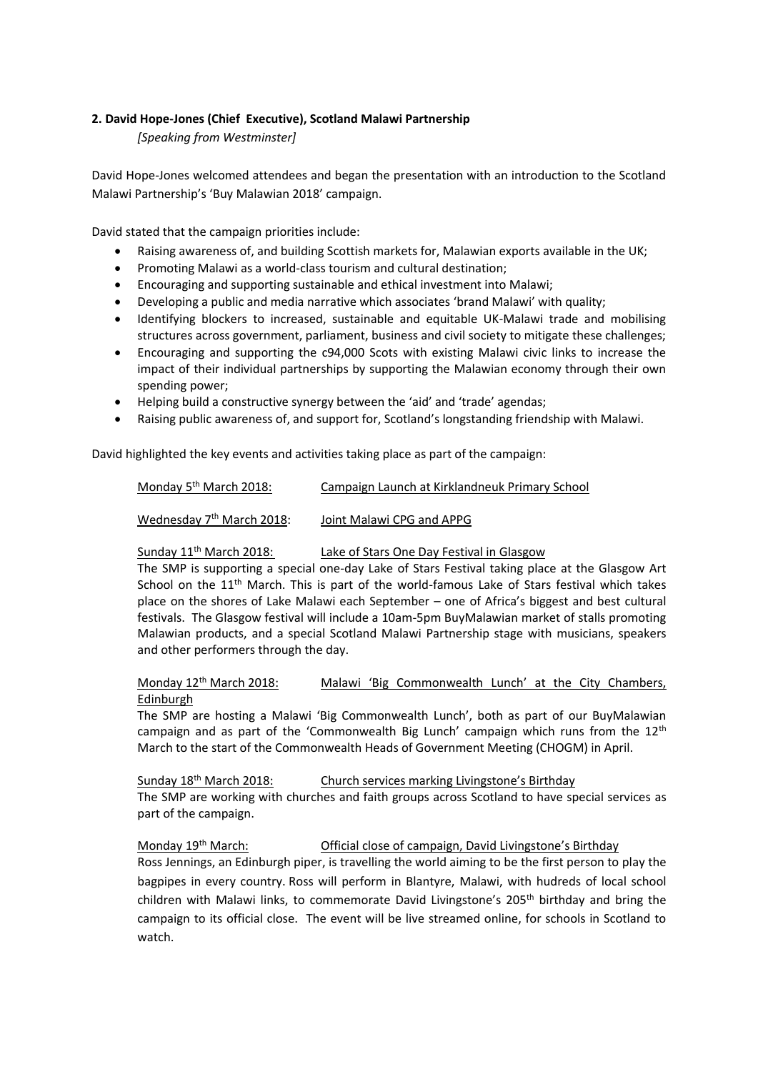### **2. David Hope-Jones (Chief Executive), Scotland Malawi Partnership**

## *[Speaking from Westminster]*

David Hope-Jones welcomed attendees and began the presentation with an introduction to the Scotland Malawi Partnership's 'Buy Malawian 2018' campaign.

David stated that the campaign priorities include:

- Raising awareness of, and building Scottish markets for, Malawian exports available in the UK;
- Promoting Malawi as a world-class tourism and cultural destination;
- Encouraging and supporting sustainable and ethical investment into Malawi;
- Developing a public and media narrative which associates 'brand Malawi' with quality;
- Identifying blockers to increased, sustainable and equitable UK-Malawi trade and mobilising structures across government, parliament, business and civil society to mitigate these challenges;
- Encouraging and supporting the c94,000 Scots with existing Malawi civic links to increase the impact of their individual partnerships by supporting the Malawian economy through their own spending power;
- Helping build a constructive synergy between the 'aid' and 'trade' agendas;
- Raising public awareness of, and support for, Scotland's longstanding friendship with Malawi.

David highlighted the key events and activities taking place as part of the campaign:

| Monday 5 <sup>th</sup> March 2018:    | Campaign Launch at Kirklandneuk Primary School |
|---------------------------------------|------------------------------------------------|
| Wednesday 7 <sup>th</sup> March 2018: | Joint Malawi CPG and APPG                      |

Sunday 11<sup>th</sup> March 2018: Lake of Stars One Day Festival in Glasgow

The SMP is supporting a special one-day Lake of Stars Festival taking place at the Glasgow Art School on the  $11<sup>th</sup>$  March. This is part of the world-famous Lake of Stars festival which takes place on the shores of Lake Malawi each September – one of Africa's biggest and best cultural festivals. The Glasgow festival will include a 10am-5pm BuyMalawian market of stalls promoting Malawian products, and a special Scotland Malawi Partnership stage with musicians, speakers and other performers through the day.

## Monday 12<sup>th</sup> March 2018: Malawi 'Big Commonwealth Lunch' at the City Chambers, Edinburgh

The SMP are hosting a Malawi 'Big Commonwealth Lunch', both as part of our BuyMalawian campaign and as part of the 'Commonwealth Big Lunch' campaign which runs from the  $12<sup>th</sup>$ March to the start of the Commonwealth Heads of Government Meeting (CHOGM) in April.

Sunday 18th March 2018: Church services marking Livingstone's Birthday

The SMP are working with churches and faith groups across Scotland to have special services as part of the campaign.

# Monday 19th March: Official close of campaign, David Livingstone's Birthday

Ross Jennings, an Edinburgh piper, is travelling the world aiming to be the first person to play the bagpipes in every country. Ross will perform in Blantyre, Malawi, with hudreds of local school children with Malawi links, to commemorate David Livingstone's 205<sup>th</sup> birthday and bring the campaign to its official close. The event will be live streamed online, for schools in Scotland to watch.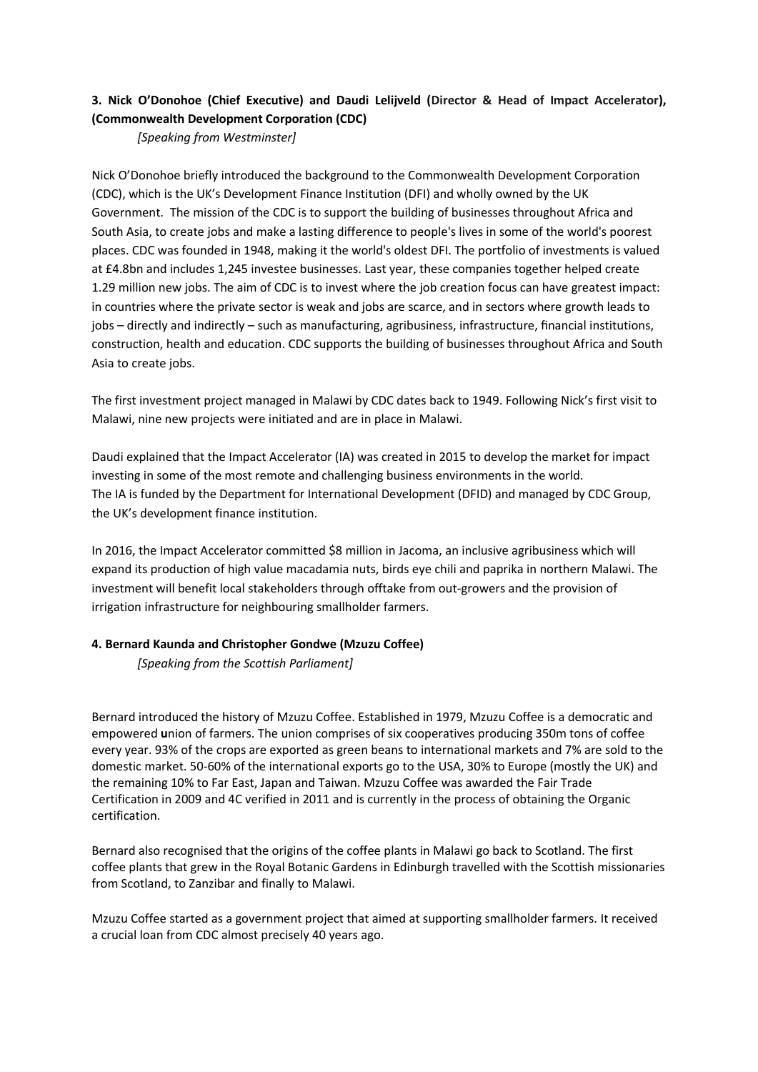## **3. Nick O'Donohoe (Chief Executive) and Daudi Lelijveld (Director & Head of Impact Accelerator), (Commonwealth Development Corporation (CDC)**

*[Speaking from Westminster]*

Nick O'Donohoe briefly introduced the background to the Commonwealth Development Corporation (CDC), which is the UK's Development Finance Institution (DFI) and wholly owned by the UK Government. The mission of the CDC is to support the building of businesses throughout Africa and South Asia, to create jobs and make a lasting difference to people's lives in some of the world's poorest places. CDC was founded in 1948, making it the world's oldest DFI. The portfolio of investments is valued at £4.8bn and includes 1,245 investee businesses. Last year, these companies together helped create 1.29 million new jobs. The aim of CDC is to invest where the job creation focus can have greatest impact: in countries where the private sector is weak and jobs are scarce, and in sectors where growth leads to jobs – directly and indirectly – such as manufacturing, agribusiness, infrastructure, financial institutions, construction, health and education. CDC supports the building of businesses throughout Africa and South Asia to create jobs.

The first investment project managed in Malawi by CDC dates back to 1949. Following Nick's first visit to Malawi, nine new projects were initiated and are in place in Malawi.

Daudi explained that the Impact Accelerator (IA) was created in 2015 to develop the market for impact investing in some of the most remote and challenging business environments in the world. The IA is funded by the Department for International Development (DFID) and managed by CDC Group, the UK's development finance institution.

In 2016, the Impact Accelerator committed \$8 million in Jacoma, an inclusive agribusiness which will expand its production of high value macadamia nuts, birds eye chili and paprika in northern Malawi. The investment will benefit local stakeholders through offtake from out-growers and the provision of irrigation infrastructure for neighbouring smallholder farmers.

### **4. Bernard Kaunda and Christopher Gondwe (Mzuzu Coffee)**

*[Speaking from the Scottish Parliament]*

Bernard introduced the history of Mzuzu Coffee. Established in 1979, Mzuzu Coffee is a democratic and empowered **u**nion of farmers. The union comprises of six cooperatives producing 350m tons of coffee every year. 93% of the crops are exported as green beans to international markets and 7% are sold to the domestic market. 50-60% of the international exports go to the USA, 30% to Europe (mostly the UK) and the remaining 10% to Far East, Japan and Taiwan. Mzuzu Coffee was awarded the Fair Trade Certification in 2009 and 4C verified in 2011 and is currently in the process of obtaining the Organic certification.

Bernard also recognised that the origins of the coffee plants in Malawi go back to Scotland. The first coffee plants that grew in the Royal Botanic Gardens in Edinburgh travelled with the Scottish missionaries from Scotland, to Zanzibar and finally to Malawi.

Mzuzu Coffee started as a government project that aimed at supporting smallholder farmers. It received a crucial loan from CDC almost precisely 40 years ago.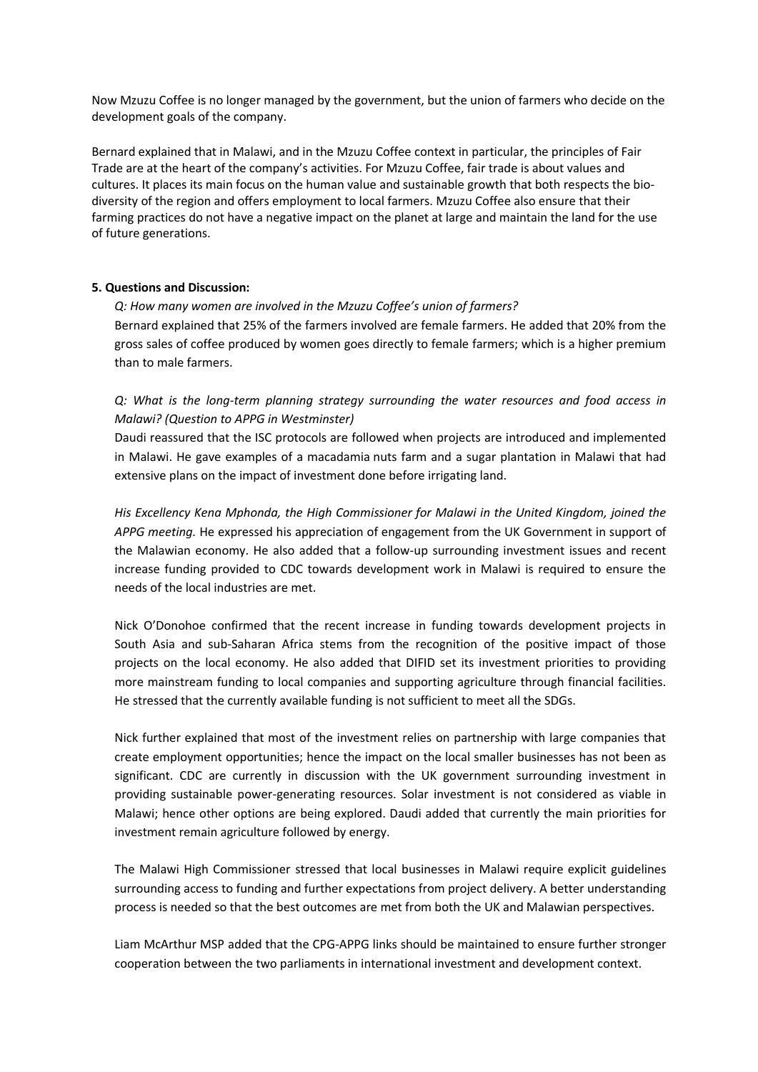Now Mzuzu Coffee is no longer managed by the government, but the union of farmers who decide on the development goals of the company.

Bernard explained that in Malawi, and in the Mzuzu Coffee context in particular, the principles of Fair Trade are at the heart of the company's activities. For Mzuzu Coffee, fair trade is about values and cultures. It places its main focus on the human value and sustainable growth that both respects the biodiversity of the region and offers employment to local farmers. Mzuzu Coffee also ensure that their farming practices do not have a negative impact on the planet at large and maintain the land for the use of future generations.

#### **5. Questions and Discussion:**

*Q: How many women are involved in the Mzuzu Coffee's union of farmers?* Bernard explained that 25% of the farmers involved are female farmers. He added that 20% from the gross sales of coffee produced by women goes directly to female farmers; which is a higher premium than to male farmers.

*Q: What is the long-term planning strategy surrounding the water resources and food access in Malawi? (Question to APPG in Westminster)*

Daudi reassured that the ISC protocols are followed when projects are introduced and implemented in Malawi. He gave examples of a macadamia nuts farm and a sugar plantation in Malawi that had extensive plans on the impact of investment done before irrigating land.

*His Excellency Kena Mphonda, the High Commissioner for Malawi in the United Kingdom, joined the APPG meeting.* He expressed his appreciation of engagement from the UK Government in support of the Malawian economy. He also added that a follow-up surrounding investment issues and recent increase funding provided to CDC towards development work in Malawi is required to ensure the needs of the local industries are met.

Nick O'Donohoe confirmed that the recent increase in funding towards development projects in South Asia and sub-Saharan Africa stems from the recognition of the positive impact of those projects on the local economy. He also added that DIFID set its investment priorities to providing more mainstream funding to local companies and supporting agriculture through financial facilities. He stressed that the currently available funding is not sufficient to meet all the SDGs.

Nick further explained that most of the investment relies on partnership with large companies that create employment opportunities; hence the impact on the local smaller businesses has not been as significant. CDC are currently in discussion with the UK government surrounding investment in providing sustainable power-generating resources. Solar investment is not considered as viable in Malawi; hence other options are being explored. Daudi added that currently the main priorities for investment remain agriculture followed by energy.

The Malawi High Commissioner stressed that local businesses in Malawi require explicit guidelines surrounding access to funding and further expectations from project delivery. A better understanding process is needed so that the best outcomes are met from both the UK and Malawian perspectives.

Liam McArthur MSP added that the CPG-APPG links should be maintained to ensure further stronger cooperation between the two parliaments in international investment and development context.